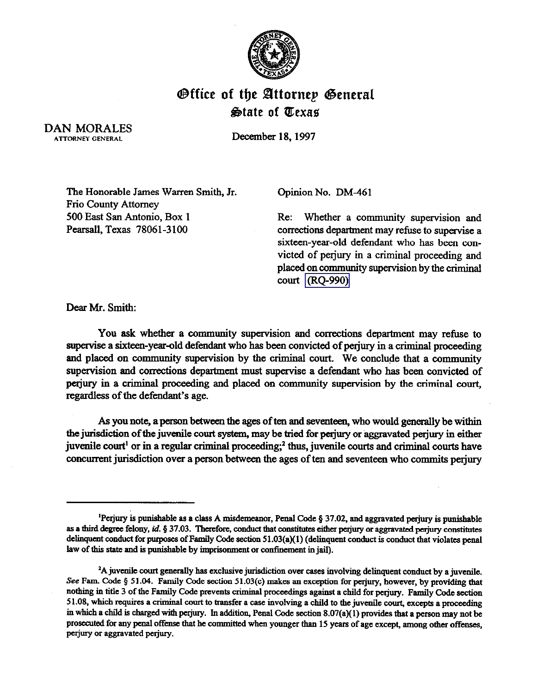

## **Office of the Attornep General** State of Texas

DAN MORALES ATTORNEY GENERAL

December 18.1997

The Honorable James Warren Smith, Jr. Frio County Attorney 500 East San Antonio, Box 1 Pearsall, Texas 78061-3100

Opinion No. DM-461

Re: Whether a community supervision and corrections department may refuse to supervise a sixteen-year-old defendant who has been convicted of perjury in a criminal proceeding and placed on conununity supervision by the criminal court [\(RQ-990\)](http://intranet1.oag.state.tx.us/opinions/requests/rq0990.pdf) 

Dear Mr. Smith:

You ask whether a community supervision and corrections department may refuse to supervise a sixteen-year-old defendant who has been convicted of perjury in a criminal proceeding and placed on community supervision by the criminal court. We conclude that a community supervision and corrections department must supervise a defendant who has been convicted of perjury in a criminal proceeding and placed on community supervision by the criminal court, regardless of the defendant's age.

As you note, a person between the ages of ten and seventeen, who would generally be within the jurisdiction of the juvenile court system, may be tried for perjury or aggravated perjury in either juvenile court<sup>1</sup> or in a regular criminal proceeding;<sup>2</sup> thus, juvenile courts and criminal courts have concurrent jurisdiction over a person between the ages of ten and seventeen who commits perjury

<sup>&</sup>lt;sup>1</sup>Perjury is punishable as a class A misdemeanor, Penal Code § 37.02, and aggravated perjury is punishable as a third degree felony, id. § 37.03. Therefore, conduct that constitutes either perjury or aggravated perjury constitutes delinquent conduct for purposes of Family Code section 51.03(a)(1) (delinquent conduct is conduct that violates penal law of this state and is punishable by imprisonment or confinement in jail).

<sup>&</sup>lt;sup>2</sup>A juvenile court generally has exclusive jurisdiction over cases involving delinquent conduct by a juvenile. See Fam. Code § 51.04. Family Code section 51.03(c) makes an exception for perjury, however, by providing that **nothing in tide 3 of the Family Code prevents criminal proceedings against a child for perjury. Family Code section**  51.08, which requires a criminal court to transfer a case involving a child to the juvenile court, excepts a proceeding **in which a child is charged with perjury. In addition, Penal Code section 8.07(a)(l) provides that a person may not be**  prosecuted for any penal offense that he committed when younger than 15 years of age except, among other offenses, **perjury or aggravated perjury.**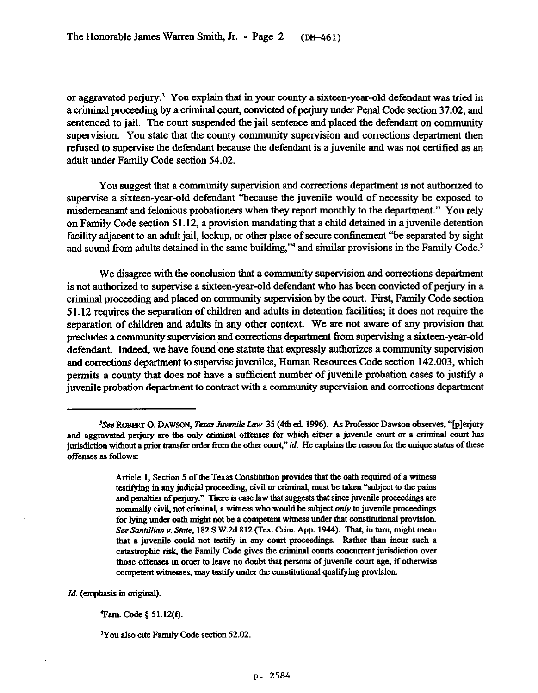or aggravated perjury.<sup>3</sup> You explain that in your county a sixteen-year-old defendant was tried in a criminal proceeding by a criminal court, convicted of perjury under Penal Code section 37.02, and sentenced to jail. The court suspended the jail sentence and placed the defendant on community supervision. You state that the county community supervision and corrections department then refused to supervise the defendant because the defendant is a juvenile and was not certified as an adult under Family Code section 54.02.

You suggest that a community supervision and corrections department is not authorized to supervise a sixteen-year-old defendant "because the juvenile would of necessity be exposed to misdemeanant and felonious probationers when they report monthly to the department." You rely on Family Code section 51.12, a provision mandating that a child detained in a juvenile detention facility adjacent to an adult jail, lockup, or other place of secure confinement "be separated by sight and sound from adults detained in the same building,"<sup>4</sup> and similar provisions in the Family Code.<sup>5</sup>

We disagree with the conclusion that a community supervision and corrections department is not authorized to supervise a sixteen-year-old defendant who has been convicted of perjury in a criminal proceeding and placed on community supervision by the court. First, Family Code section 5 1.12 requires the separation of children and adults in detention facilities; it does not require the separation of children and adults in any other context. We are not aware of any provision that precludes a community supervision and corrections department from supervising a sixteen-year-old defendant. Indeed, we have found one statute that expressly authorizes a community supervision and corrections department to supervise juveniles, Human Resources Code section 142.003, which permits a county that does not have a sufficient number of juvenile probation cases to justify a juvenile probation department to contract with a community supervision and corrections department

*Id. (emphasii in original)* 

**5You also cite Family Code section 52.02.** 

<sup>&</sup>lt;sup>3</sup>See ROBERT O. DAWSON, *Texas Juvenile Law* 35 (4th ed. 1996). As Professor Dawson observes, "[p]erjury and aggravated perjury are the only criminal offenses for which either a juvenile court or a criminal court has **jurisdiction without a prior transfer order from the other court," id. He explains the reason for the unique status of these offemcs ss follows:** 

Article 1, Section 5 of the Texas Constitution provides that the oath required of a witness **testifying in my judicial proceeding, civil or crimiml, must be taken "subject to the pains**  and penalties of perjury." There is case law that suggests that since juvenile proceedings are nominally civil, not criminal, a witness who would be subject *only* to juvenile proceedings for lying under oath might not be a competent witness under that constitutional provision. See Santillian v. State, 182 S.W.2d 812 (Tex. Crim. App. 1944). That, in turn, might mean **that a juvenile could not testify in my court proceedings. Rather thm incur such a**  catastrophic risk, the Family Code gives the criminal courts concurrent jurisdiction over those offenses in order to leave no doubt that persons of juvenile court age, if otherwise competent witnesses, may testify under the constitutional qualifying provision.

**<sup>&#</sup>x27;Fam. Code 5 51.12(f).**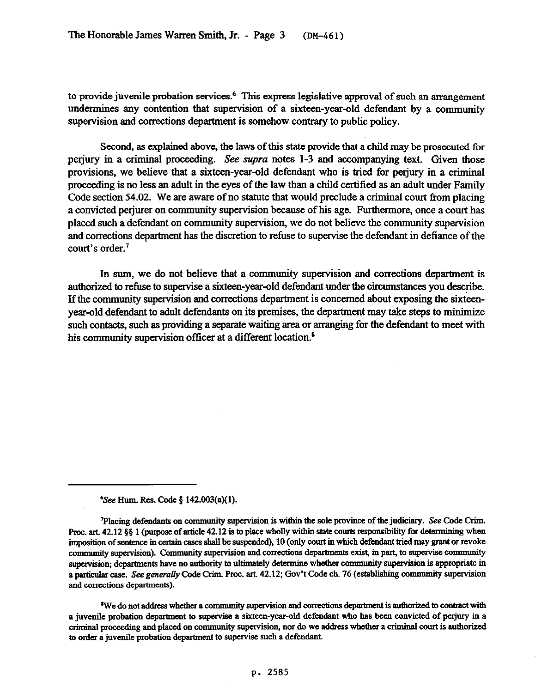to provide juvenile probation services.<sup>6</sup> This express legislative approval of such an arrangement undermines any contention that supervision of a sixteen-year-old defendant by a community supervision and corrections department is somehow contrary to public policy.

Second, as explained above, the laws of this state provide that a child may be prosecuted for perjury in a criminal proceeding. See supra notes 1-3 and accompanying text. Given those provisions, we believe that a sixteen-year-old defendant who is tried for perjury in a criminal proceeding is no less an adult in the eyes of the law than a child certified as an adult under Family Code section 54.02. We are aware of no statute that would preclude a criminal court from placing a convicted perjurer on community supervision because of his age. Furthermore, once a court has placed such a defendant on community supervision, we do not believe the community supervision and corrections department has the discretion to refuse to supervise the defendant in defiance of the court's order.'

In sum, we do not believe that a community supervision and corrections department is authorized to refuse to supervise a sixteen-year-old defendant under the circumstances you describe. If the community supervision and corrections department is concerned about exposing the sixteenyear-old defendant to adult defendants on its premises, the department may take steps to minimize such contacts, such as providing a separate waiting area or arranging for the defendant to meet with his community supervision officer at a different location.<sup>8</sup>

*See Hum. Res. Code § 142.003(a)(1).* 

Placing defendants on community supervision is within the sole province of the judiciary. See Code Crim. **Froc. art. 42.12 §§ 1 (purpose of article 42.12 is to place wholly within state courts responsibility for determining when** imposition of sentence in certain cases shall be suspended), 10 (only court in which defendant tried may grant or revoke community supervision). Community supervision and corrections departments exist, in part, to supervise community supervision; departments have no authority to ultimately determine whether community supervision is appropriate in a particular case. See generally Code Crim. Proc. art. 42.12; Gov't Code ch. 76 (establishing community supervision **and corrections departments).** 

<sup>\*</sup>We do not address whether a community supervision and corrections department is authorized to contract with a juvenile probation department to supervise a sixteen-year-old defendant who has been convicted of perjury in a criminal proceeding and placed on community supervision, nor do we address whether a criminal court is authorized **to order a juvenile probation department to supervise such a defendant.**